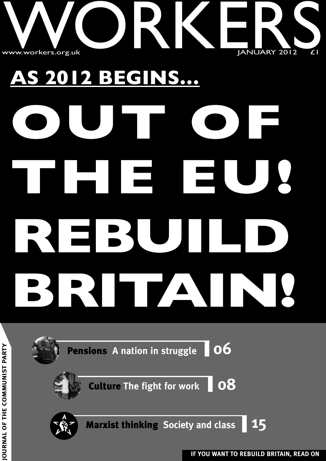

# **AS 2012 BEGINS… OUT OF THE EU! REBUILD BRITAIN!**

**Pensions <sup>A</sup> nation in struggle 06**

**Culture The fight for work 08**



**Marxist thinking Society and class 15**



**IF YOU WANT TO REBUILD BRITAIN, READ ON JO**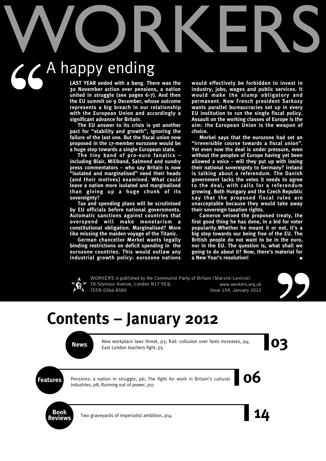# WORKERS

# A happy ending  $56^{\circ}$

**LAST YEAR ended with a bang. There was the 30 November action over pensions, a nation united in struggle (see pages 6-7). And then the EU summit on 9 December, whose outcome represents a big breach in our relationship with the European Union and accordingly a significant advance for Britain.**

**The EU answer to its crisis is yet another pact for "stability and growth", ignoring the failure of the last one. But the fiscal union now proposed in the 17-member eurozone would be a huge step towards a single European state.**

**The tiny band of pro-euro fanatics – including Blair, Miliband, Salmond and sundry press commentators – who say Britain is now "isolated and marginalised" need their heads (and their motives) examined. What could leave a nation more isolated and marginalised than giving up a huge chunk of its sovereignty?**

**Tax and spending plans will be scrutinised by EU officials before national governments. Automatic sanctions against countries that overspend will make monetarism a constitutional obligation. Marginalised? More like missing the maiden voyage of the Titanic.**

**German chancellor Merkel wants legally binding restrictions on deficit spending in the eurozone countries. This would outlaw any industrial growth policy: eurozone nations** **would effectively be forbidden to invest in industry, jobs, wages and public services. It would make the slump obligatory and permanent. Now French president Sarkozy wants parallel bureaucracies set up in every EU institution to run the single fiscal policy. Assault on the working classes of Europe is the aim: the European Union is the weapon of choice.**

**Merkel says that the eurozone had set an "irreversible course towards a fiscal union". Yet even now the deal is under pressure, even without the peoples of Europe having yet been allowed a voice – will they put up with losing their national sovereignty to Germany? Ireland is talking about a referendum. The Danish government lacks the votes it needs to agree to the deal, with calls for a referendum growing. Both Hungary and the Czech Republic say that the proposed fiscal rules are unacceptable because they would take away their sovereign taxation rights.**

**Cameron vetoed the proposed treaty, the first good thing he has done, in a bid for voter popularity.Whether he meant it or not, it's a big step towards our being free of the EU. The British people do not want to be in the euro, nor in the EU. The question is, what shall we going to do about it? Now, there's material for a New Year's resolution! ■**



WORKERS is published by the Communist Party of Britain (Marxist-Leninist) 78 Seymour Avenue, London N17 9EB. www.workers.org.uk ISSN 0266-8580 **ISSN** 0266-8580



# **Contents – January 2012**

New workplace laws threat, p3; Rail: collusion over fares increases, p4;<br>East London teachers fight, p5 New workplace laws threat, p3; Rail: collusion over fares increases, p4; East London teachers fight, p5

**Features** Pensions: a nation in struggle, p6; The fight for work in Britain's cultural **OO** Pensions: a nation in struggle, p6; The fight for work in Britain's cultural industries, p8; Running out of power, p11



Two graveyards of imperialist ambition, p14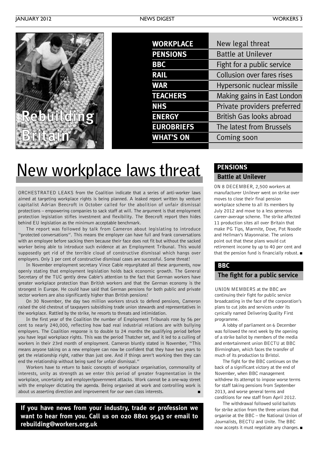| <b>WORKPLACE</b>  | New legal threat                |
|-------------------|---------------------------------|
| <b>PENSIONS</b>   | <b>Battle at Unilever</b>       |
| <b>BBC</b>        | Fight for a public service      |
| <b>RAIL</b>       | Collusion over fares rises      |
| <b>WAR</b>        | Hypersonic nuclear missile      |
| <b>TEACHERS</b>   | Making gains in East London     |
| <b>NHS</b>        | Private providers preferred     |
| <b>ENERGY</b>     | <b>British Gas looks abroad</b> |
| <b>EUROBRIEFS</b> | The latest from Brussels        |
| <b>WHAT'S ON</b>  | Coming soon                     |
|                   |                                 |

# **New workplace laws threat**

ORCHESTRATED LEAKS from the Coalition indicate that a series of anti-worker laws aimed at targeting workplace rights is being planned. A leaked report written by venture capitalist Adrian Beecroft in October called for the abolition of unfair dismissal protections – empowering companies to sack staff at will. The argument is that employment protection legislation stifles investment and flexibility. The Beecroft report then hides behind EU legislation as the minimum acceptable benchmark.

The report was followed by talk from Cameron about legislating to introduce "protected conversations". This means the employer can have full and frank conversations with an employee before sacking them because their face does not fit but without the sacked worker being able to introduce such evidence at an Employment Tribunal. This would supposedly get rid of the terrible cloud of constructive dismissal which hangs over employers. Only 1 per cent of constructive dismissal cases are successful. Some threat!

In November employment secretary Vince Cable regurgitated all these arguments, now openly stating that employment legislation holds back economic growth. The General Secretary of the TUC gently drew Cable's attention to the fact that German workers have greater workplace protection than British workers and that the German economy is the strongest in Europe. He could have said that German pensions for both public and private sector workers are also significantly higher than British pensions!

On 30 November, the day two million workers struck to defend pensions, Cameron raised the old chestnut of taxpayers subsidising trade union stewards and representatives in the workplace. Rattled by the strike, he resorts to threats and intimidation.

In the first year of the Coalition the number of Employment Tribunals rose by 56 per cent to nearly 240,000, reflecting how bad real industrial relations are with bullying employers. The Coalition response is to double to 24 months the qualifying period before you have legal workplace rights. This was the period Thatcher set, and it led to a culling of workers in their 23rd month of employment. Cameron bluntly stated in November, "This means anyone taking on a new employee can now be confident that they have two years to get the relationship right, rather than just one. And if things aren't working then they can end the relationship without being sued for unfair dismissal."

Workers have to return to basic concepts of workplace organisation, commonality of interests, unity as strength as we enter this period of greater fragmentation in the workplace, uncertainty and employer/government attacks. Work cannot be a one-way street with the employer dictating the agenda. Being organised at work and controlling work is about us asserting direction and improvement for our own class interests.

**If you have news from your industry, trade or profession we want to hear from you. Call us on 020 8801 9543 or email to rebuilding@workers.org.uk**

# **PENSIONS**

# **Battle at Unilever**

ON 8 DECEMBER, 2,500 workers at manufacturer Unilever went on strike over moves to close their final pension workplace scheme to all its members by July 2012 and move to a less generous career-average scheme. The strike affected 11 production sites all over Britain that make PG Tips, Marmite, Dove, Pot Noodle and Hellman's Mayonnaise. The unions point out that these plans would cut retirement income by up to 40 per cent and that the pension fund is financially robust. **■**

# **BBC**

# **The fight for a public service**

UNION MEMBERS at the BBC are continuing their fight for public service broadcasting in the face of the corporation's plans to cut jobs and services under its cynically named Delivering Quality First programme.

A lobby of parliament on 6 December was followed the next week by the opening of a strike ballot by members of the media and entertainment union BECTU at BBC Birmingham, which faces the transfer of much of its production to Bristol.

The fight for the BBC continues on the back of a significant victory at the end of November, when BBC management withdrew its attempt to impose worse terms for staff taking pensions from September 2013, and worse general terms and conditions for new staff from April 2012.

The withdrawal followed solid ballots for strike action from the three unions that organise at the BBC – the National Union of Journalists, BECTU and Unite. The BBC now accepts it must negotiate any changes.**■**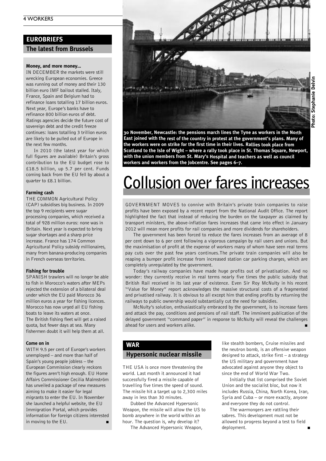# **EUROBRIEFS**

**The latest from Brussels**

### **Money, and more money…**

IN DECEMBER the markets were still wrecking European economies. Greece was running out of money and their 130 billion euro IMF bailout stalled. Italy, France, Spain and Belgium had to refinance loans totalling 17 billion euros. Next year, Europe's banks have to refinance 800 billion euros of debt. Ratings agencies decide the future cost of sovereign debt and the credit freeze continues: loans totalling 3 trillion euros are likely to be pulled out of Europe in the next few months.

In 2010 (the latest year for which full figures are available) Britain's gross contribution to the EU budget rose to £18.5 billion, up 5.7 per cent. Funds coming back from the EU fell by about a quarter to £8.1 billion.

### **Farming cash**

THE COMMON Agricultural Policy (CAP) subsidises big business. In 2009 the top 9 recipients were sugar processing companies, which received a total of 928 million euros: none was in Britain. Next year is expected to bring sugar shortages and a sharp price increase. France has 174 Common Agricultural Policy subsidy millionaires, many from banana-producing companies in French overseas territories.

### **Fishing for trouble**

SPANISH trawlers will no longer be able to fish in Morocco's waters after MEPs rejected the extension of a bilateral deal under which the EU paid Morocco 36 million euros a year for fishing licences. Morocco has now urged all EU fishing boats to leave its waters at once. The British fishing fleet will get a raised quota, but fewer days at sea. Many fishermen doubt it will help them at all.

### **Come on in**

WITH 9.5 per cent of Europe's workers unemployed – and more than half of Spain's young people jobless – the European Commission clearly reckons the figures aren't high enough. EU Home Affairs Commissioner Cecilia Malmström has unveiled a package of new measures aiming to make it easier for legal migrants to enter the EU. In November she launched a helpful website, the EU Immigration Portal, which provides information for foreign citizens interested in moving to the EU. **■**



**30 November, Newcastle: the pensions march lines the Tyne as workers in the North East joined with the rest of the country in protest at the government's plans. Many of the workers were on strike for the first time in their lives. Rallies took place from Scotland to the Isle of Wight – where <sup>a</sup> rally took place in St. Thomas Square, Newport, with the union members from St. Mary's Hospital and teachers as well as council workers and workers from the Jobcentre. See pages 6–7.**

# **Collusion over fares increases**

GOVERNMENT MOVES to connive with Britain's private train companies to raise profits have been exposed by a recent report from the National Audit Office. The report highlighted the fact that instead of reducing the burden on the taxpayer as claimed by transport ministers, the above-inflation fares increases that came into effect in January 2012 will mean more profits for rail companies and more dividends for shareholders.

The government has been forced to reduce the fares increases from an average of 8 per cent down to 6 per cent following a vigorous campaign by rail users and unions. But the maximisation of profit at the expense of workers many of whom have seen real terms pay cuts over the past few years continues.The private train companies will also be reaping a bumper profit increase from increased station car parking charges, which are completely unregulated by the government.

Today's railway companies have made huge profits out of privatisation. And no wonder: they currently receive in real terms nearly five times the public subsidy that British Rail received in its last year of existence. Even Sir Roy McNulty in his recent "Value for Money" report acknowledges the massive structural costs of a fragmented and privatised railway. It is obvious to all except him that ending profits by returning the railways to public ownership would substantially cut the need for subsidies.

McNulty's solution, enthusiastically embraced by the government, is to increase fares and attack the pay, conditions and pensions of rail staff. The imminent publication of the delayed government "command paper" in response to McNulty will reveal the challenges ahead for users and workers alike.

# **WAR**

### **Hypersonic nuclear missile**

THE USA is once more threatening the world. Last month it announced it had successfully fired a missile capable of travelling five times the speed of sound. The missile hit a target up to 2,300 miles away in less than 30 minutes.

Dubbed the Advanced Hypersonic Weapon, the missile will allow the US to bomb anywhere in the world within an hour. The question is, why develop it?

The Advanced Hypersonic Weapon,

like stealth bombers, Cruise missiles and the neutron bomb, is an offensive weapon designed to attack, strike first – a strategy the US military and government have advocated against anyone they object to since the end of World War Two.

Initially that list comprised the Soviet Union and the socialist bloc, but now it includes Russia, China, North Korea, Iran, Syria and Cuba – or more exactly, anyone and everyone they do not control.

The warmongers are rattling their sabres. This development must not be allowed to progress beyond a test to field deployment.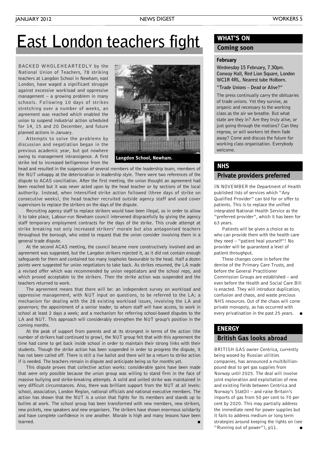# **East London teachers fight**

BACKED WHOLEHEARTEDLY by the National Union of Teachers, 78 striking teachers at Langdon School in Newham, east London, have waged a significant struggle against excessive workload and oppressive management – a growing problem in many schools. Following 10 days of strikes stretching over a number of weeks, an agreement was reached which enabled the union to suspend industrial action scheduled for 14, 15 and 20 December, and future planned actions in January.

Attempts to solve the problems by discussion and negotiation began in the previous academic year, but got nowhere owing to management intransigence. A first strike led to increased belligerence from the



**Langdon School, Newham.**

head and resulted in the suspension of several members of the leadership team, members of the NUT unhappy at the deterioration in leadership style. There were two references of the dispute to ACAS conciliation. After the first meeting, the union thought an agreement had been reached but it was never acted upon by the head teacher or by sections of the local authority. Instead, when intensified strike action followed (three days of strike on consecutive weeks), the head teacher recruited outside agency staff and used cover supervisors to replace the strikers on the days of the dispute.

Recruiting agency staff to replace strikers would have been illegal, so in order to allow it to take place, Labour-run Newham council intervened disgracefully by giving the agency staff temporary employment contracts for the days of the strike. This crude attempt at strike breaking not only increased strikers' morale but also antagonised teachers throughout the borough, who voted to request that the union consider involving them in a general trade dispute.

At the second ACAS meeting, the council became more constructively involved and an agreement was suggested, but the Langdon strikers rejected it, as it did not contain enough safeguards for them and contained too many loopholes favourable to the head. Half a dozen points were suggested for union negotiators to take back. As strikes resumed, the LA made a revised offer which was recommended by union negotiators and the school reps, and which proved acceptable to the strikers. Then the strike action was suspended and the teachers returned to work.

The agreement means that there will be: an independent survey on workload and oppressive management, with NUT input on questions, to be referred to the LA; a mechanism for dealing with the 28 existing workload issues, involving the LA and governors; the appointment of a senior leader, to whom staff will have access, to work in school at least 2 days a week; and a mechanism for referring school-based disputes to the LA and NUT. This approach will considerably strengthen the NUT group's position in the coming months.

At the peak of support from parents and at its strongest in terms of the action (the number of strikers had continued to grow), the NUT group felt that with this agreement the time had come to get back inside school in order to maintain their strong links with their students. Though the strike action has been suspended in order to progress the dispute, it has not been called off. There is still a live ballot and there will be a return to strike action if is needed. The teachers remain in dispute and anticipate being so for months yet.

This dispute proves that collective action works: considerable gains have been made that were only possible because the union group was willing to stand firm in the face of massive bullying and strike-breaking attempts. A solid and united strike was maintained in very difficult circumstances. Also, there was brilliant support from the NUT at all levels: school, association, London Region, national officials and national executive members. The action has shown that the NUT is a union that fights for its members and stands up to bullies at work. The school group has been transformed with new members, new strikers, new pickets, new speakers and new organisers. The strikers have shown enormous solidarity and have complete confidence in one another. Morale is high and many lessons have been learned. **■**

# **WHAT'S ON**

# **Coming soon**

### **February**

**Wednesday 15 February, 7.30pm. Conway Hall, Red Lion Square, London WC1R 4RL. Nearest tube Holborn. "Trade Unions – Dead or Alive?"**

The press continually carry the obituaries of trade unions. Yet they survive, as organic and necessary to the working class as the air we breathe. But what state are they in? Are they truly alive, or just going through the motions? Can they regrow, or will workers let them fade away? Come and discuss the future for working class organisation. Everybody welcome.

# **Private providers preferred NHS**

IN NOVEMBER the Department of Health published lists of services which "Any Qualified Provider" can bid for or offer to patients. This is to replace the unified integrated National Health Service as the "preferred provider", which it has been for 63 years.

Patients will be given a choice as to who can provide them with the health care they need – "patient heal yourself"! No provider will be guaranteed a level of patient throughput.

These changes come in before the demise of the Primary Care Trusts, and before the General Practitioner Commission Groups are established – and even before the Health and Social Care Bill is enacted. They will introduce duplication, confusion and chaos, and waste precious NHS resources. Out of the chaos will come private monopoly, as has occurred with every privatisation in the past 25 years. **■**

# **ENERGY**

# **British Gas looks abroad**

BRITISH GAS owner Centrica, currently being wooed by Russian utilities companies, has announced a multibillionpound deal to get gas supplies from Norway until 2025. The deal will involve joint exploration and exploitation of new and existing fields between Centrica and Norway's StatOil – and raise Britain's imports of gas from 50 per cent to 70 per cent by 2020. This may partially address the immediate need for power supplies but it fails to address medium or long term strategies around keeping the lights on (see "Running out of power"), p11. **■**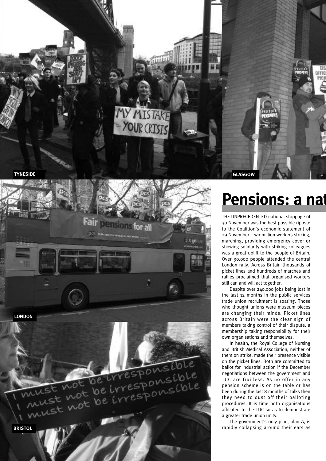



**Pensions: a nat** 

THE UNPRECEDENTED national stoppage of 30 November was the best possible riposte to the Coalition's economic statement of 29 November. Two million workers striking, marching, providing emergency cover or showing solidarity with striking colleagues was a great uplift to the people of Britain. Over 30,000 people attended the central London rally. Across Britain thousands of picket lines and hundreds of marches and rallies proclaimed that organised workers still can and will act together.

Despite over 240,000 jobs being lost in the last 12 months in the public services trade union recruitment is soaring. Those who thought unions were museum pieces are changing their minds. Picket lines across Britain were the clear sign of members taking control of their dispute, a membership taking responsibility for their own organisations and themselves.

In health, the Royal College of Nursing and British Medical Association, neither of them on strike, made their presence visible on the picket lines. Both are committed to ballot for industrial action if the December negotiations between the government and TUC are fruitless. As no offer in any pension scheme is on the table or has been during the last 8 months of talks then they need to dust off their balloting procedures. It is time both organisations affiliated to the TUC so as to demonstrate a greater trade union unity.

The government's only plan, plan A, is rapidly collapsing around their ears as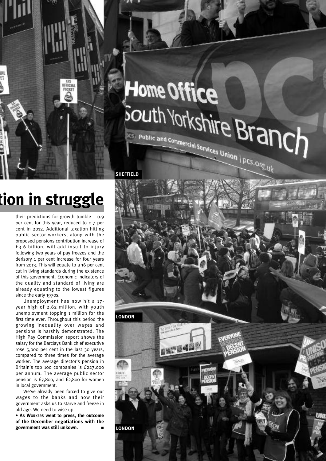# Home Office South Yorkshire Branch **PCS** Public and Commercial Services Union | PCS, Org.uk

# **Pensions: a nation in struggle**

*<u>AFFICIAL</u>* PICKET

Ï٦

their predictions for growth tumble  $-$  0.9 per cent for this year, reduced to 0.7 per cent in 2012. Additional taxation hitting public sector workers, along with the proposed pensions contribution increase of £3.6 billion, will add insult to injury following two years of pay freezes and the derisory 1 per cent increase for four years from 2013. This will equate to a 16 per cent cut in living standards during the existence of this government. Economic indicators of the quality and standard of living are already equating to the lowest figures since the early 1970s.

Unemployment has now hit a 17 year high of 2.62 million, with youth unemployment topping 1 million for the first time ever. Throughout this period the growing inequality over wages and pensions is harshly demonstrated. The High Pay Commission report shows the salary for the Barclays Bank chief executive rose 5,000 per cent in the last 30 years, compared to three times for the average worker. The average director's pension in Britain's top 100 companies is £227,000 per annum. The average public sector pension is £7,800, and £2,800 for women in local government.

We've already been forced to give our wages to the banks and now their government asks us to starve and freeze in old age. We need to wise up.

**• As WORKERS went to press, the outcome of the December negotiations with the government was still unkown. ■**

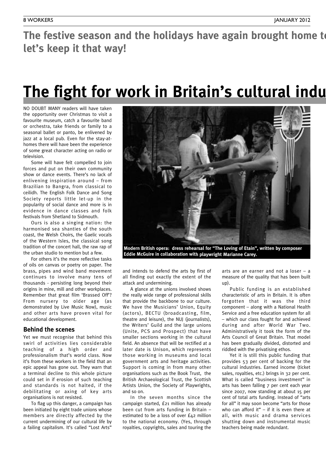The festive season and the holidays have again brought home to **let's keep it that way!**

# **The fight for work in Britain's cultural indu**

NO DOUBT MANY readers will have taken the opportunity over Christmas to visit a favourite museum, catch a favourite band or orchestra, take friends or family to a seasonal ballet or panto, be enlivened by jazz at a local pub. Even for the stay-athomes there will have been the experience of some great character acting on radio or television.

Some will have felt compelled to join forces and put on their own community show or dance events. There's no lack of enlivening inspiration around – from Brazilian to Bangra, from classical to ceilidh. The English Folk Dance and Song Society reports little let-up in the popularity of social dance and more is in evidence in dance classes and folk festivals from Shetland to Sidmouth.

Ours is also a singing nation: the harmonised sea shanties of the south coast, the Welsh Choirs, the Gaelic vocals of the Western Isles, the classical song tradition of the concert hall, the raw rap of the urban studio to mention but a few.

For others it's the more reflective tasks of oils on canvas or poetry on paper. The brass, pipes and wind band movement continues to involve many tens of thousands - persisting long beyond their origins in mine, mill and other workplaces. Remember that great film 'Brassed Off'? From nursery to older age (as demonstrated by Live Music Now), music and other arts have proven vital for educational development.

# **Behind the scenes**

Yet we must recognise that behind this swirl of activities lies considerable teaching of a high order and professionalism that's world class. Now it's from these workers in the field that an epic appeal has gone out. They warn that a terminal decline to this whole picture could set in if erosion of such teaching and standards is not halted, if the debilitating or axing of key arts organisations is not resisted.

To flag up this danger, a campaign has been initiated by eight trade unions whose members are directly affected by the current undermining of our cultural life by a failing capitalism. It's called "Lost Arts"



**Modern British opera: dress rehearsal for "The Loving of Etain", written by composer Eddie McGuire in collaboration with playwright Marianne Carey.**

and intends to defend the arts by first of all finding out exactly the extent of the attack and undermining.

A glance at the unions involved shows the really wide range of professional skills that provide the backbone to our culture. We have the Musicians' Union, Equity (actors), BECTU (broadcasting, film, theatre and leisure), the NUJ (journalists), the Writers' Guild and the large unions (Unite, PCS and Prospect) that have smaller sections working in the cultural field. An absence that will be rectified at a later date is Unison, which represents those working in museums and local government arts and heritage activities. Support is coming in from many other organisations such as the Book Trust, the British Archaeological Trust, the Scottish Artists Union, the Society of Playwrights, and so on.

In the seven months since the campaign started, £21 million has already been cut from arts funding in Britain – estimated to be a loss of over £42 million to the national economy. (Yes, through royalties, copyrights, sales and touring the arts are an earner and not a loser – a measure of the quality that has been built up).

Public funding is an established characteristic of arts in Britain. It is often forgotten that it was the third component – along with a National Health Service and a free education system for all – which our class fought for and achieved during and after World War Two. Administratively it took the form of the Arts Council of Great Britain. That model has been gradually divided, distorted and riddled with the privatising ethos.

Yet it is still this public funding that provides 53 per cent of backing for the cultural industries. Earned income (ticket sales, royalties, etc.) brings in 32 per cent. What is called "business investment" in arts has been falling 7 per cent each year since 2007, now standing at about 15 per cent of total arts funding. Instead of "arts for all" it may soon become "arts for those who can afford it"  $-$  if it is even there at all, with music and drama services shutting down and instrumental music teachers being made redundant.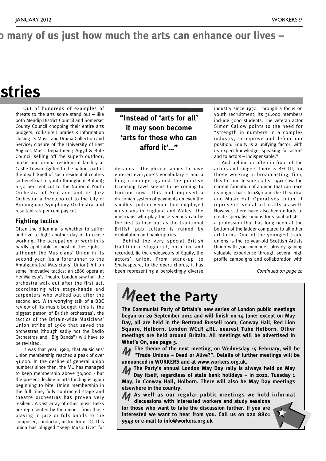# o many of us just how much the arts can enhance our lives -

# **stries**

Out of hundreds of examples of threats to the arts some stand out  $-$  like both Mendip District Council and Somerset County Council chopping their entire arts budgets; Yorkshire Libraries & Information closing its Music and Drama Collection and Service; closure of the University of East Anglia's Music Department; Argyll & Bute Council selling off the superb outdoor, music and drama residential facility at Castle Toward (gifted to the nation, part of the death knell of such residential centres so beneficial to youth throughout Britain); a 50 per cent cut to the National Youth Orchestra of Scotland and its Jazz Orchestra; a £140,000 cut to the City of Birmingham Symphony Orchestra and resultant 3.2 per cent pay cut.

# **Fighting tactics**

Often the dilemma is whether to suffer and live to fight another day or to cease working. The occupation or work-in is hardly applicable in most of these jobs – although the Musicians' Union in its second year (as a forerunner to the Amalgamated Musicians' Union) hit on some innovative tactics: an 1886 opera at Her Majesty's Theatre London saw half the orchestra walk out after the first act, coordinating with stage-hands and carpenters who walked out after the second act. With worrying talk of a BBC review of its music budget (this is the biggest patron of British orchestras), the tactics of the Britain-wide Musicians' Union strike of 1980 that saved the orchestras (though sadly not the Radio Orchestras and "Big Bands") will have to be revisited.

It was that year, 1980, that Musicians' Union membership reached a peak of over 41,000. In the decline of general union numbers since then, the MU has managed to keep membership above 30,000 - but the present decline in arts funding is again beginning to bite. Union membership in the full time, fully contracted stage and theatre orchestras has proven very resilient. A vast array of other music tasks are represented by the union - from those playing in jazz or folk bands to the composer, conductor, instructor or DJ. This union has plugged "Keep Music Live" for

# **"Instead of 'arts for all' it may soon become 'arts for those who can afford it'…"**

decades – the phrase seems to have entered everyone's vocabulary – and a long campaign against the punitive Licensing Laws seems to be coming to fruition now. This had imposed a draconian system of payments on even the smallest pub or venue that employed musicians in England and Wales. The musicians who play these venues can be the first to lose out as the traditional British pub culture is ruined by exploitation and bankruptcies.

Behind the very special British tradition of stagecraft, both live and recorded, lie the endeavours of Equity, the actors' union. From stand-up to Shakespeare, to the opera chorus, it has been representing a perplexingly diverse

industry since 1930. Through a focus on youth recruitment, its 36,000 members include 5000 students. The veteran actor Simon Callow points to the need for "strength in numbers in a complex industry, to improve and defend our position. Equity is a unifying factor, with its expert knowledge, speaking for actors and to actors – indispensable."

And behind or often in front of the actors and singers there is BECTU, for those working in broadcasting, film, theatre and leisure crafts. 1991 saw the current formation of a union that can trace its origins back to 1890 and the Theatrical and Music Hall Operatives Union. It represents visual art crafts as well. However, there have also been efforts to create specialist unions for visual artists – a profession that has long been at the bottom of the ladder compared to all other art forms. One of the youngest trade unions is the 10-year-old Scottish Artists Union with 700 members, already gaining valuable experience through several high profile campaigns and collaboration with

*Continued on page 10*

# **Meet the Party**

**The Communist Party of Britain's new series of London public meetings began on 29 September 2011 and will finish on 14 June; except on May Day, all are held in the Bertrand Russell room, Conway Hall, Red Lion Square, Holborn, London WC1R 4RL, nearest Tube Holborn. Other meetings are held around Britain. All meetings will be advertised in What's On, see page 5.**

**The theme of the next meeting, on Wednesday 15 February, will be 11** The theme of the next meeting, on Wednesday 15 February, will be<br>**12 Trade Unions – Dead or Alive?". Details of further meetings will be announced in WORKERS and at www.workers.org.uk.**

**The Party's annual London May Day rally is always held on May** M **Day itself, regardless of state bank holidays – in 2012, Tuesday 1 May, in Conway Hall, Holborn. There will also be May Day meetings elsewhere in the country.**

**As well as our regular public meetings we hold informal** M **discussions with interested workers and study sessions**

**for those who want to take the discussion further. If you are interested we want to hear from you. Call us on 020 8801 9543 or e-mail to info@workers.org.uk**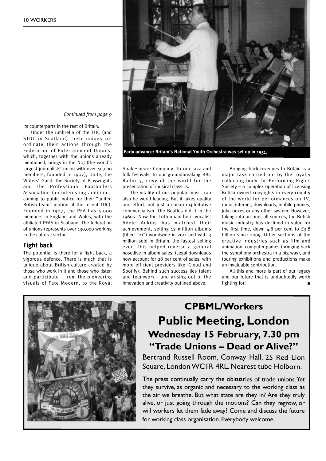

*Continued from page 9*

its counterparts in the rest of Britain.

Under the umbrella of the TUC (and STUC in Scotland) these unions coordinate their actions through the Federation of Entertainment Unions, which, together with the unions already mentioned, brings in the NUJ (the world's largest journalists' union with over 40,000 members, founded in 1907), Unite, the Writers' Guild, the Society of Playwrights and the Professional Footballers Association (an interesting addition – coming to public notice for their "united British team" motion at the recent TUC). Founded in 1907, the PFA has 4,000 members in England and Wales, with the affiliated PFAS in Scotland. The federation of unions represents over 130,000 working in the cultural sector.

# **Fight back**

The potential is there for a fight back, a vigorous defence. There is much that is unique about British culture created by those who work in it and those who listen and participate – from the pioneering visuals of Tate Modern, to the Royal Shakespeare Company, to our jazz and folk festivals, to our groundbreaking BBC Radio 3, envy of the world for the presentation of musical classics.

The vitality of our popular music can also be world leading. But it takes quality and effort, not just a cheap exploitative commercialism. The Beatles did it in the 1960s. Now the Tottenham-born vocalist Adele Adkins has matched their achievement, selling 12 million albums (titled "21") worldwide in 2011 and with 3 million sold in Britain, the fastest selling ever. This helped reverse a general nosedive in album sales. (Legal downloads now account for 28 per cent of sales, with more efficient providers like iCloud and Spotify). Behind such success lies talent and teamwork - and arising out of the innovation and creativity outlined above.

Bringing back revenues to Britain is a major task carried out by the royalty collecting body the Performing Rights Society – a complex operation of licensing British owned copyrights in every country of the world for performances on TV, radio, internet, downloads, mobile phones, juke boxes or any other system. However, taking into account all sources, the British music industry has declined in value for the first time, down  $4.8$  per cent to  $£3.8$ billion since 2009. Other sections of the creative industries such as film and animation, computer games (bringing back the symphony orchestra in a big way), and touring exhibitions and productions make an invaluable contribution.

All this and more is part of our legacy and our future that is undoubtedly worth fighting for!



# **CPBML/Workers Public Meeting, London Wednesday 15 February, 7.30 pm "Trade Unions – Dead or Alive?"**

Bertrand Russell Room, Conway Hall, 25 Red Lion Square, London WCIR 4RL. Nearest tube Holborn.

The press continually carry the obituaries of trade unions. Yet they survive, as organic and necessary to the working class as the air we breathe. But what state are they in? Are they truly alive, or just going through the motions? Can they regrow, or will workers let them fade away? Come and discuss the future for working class organisation. Everybody welcome.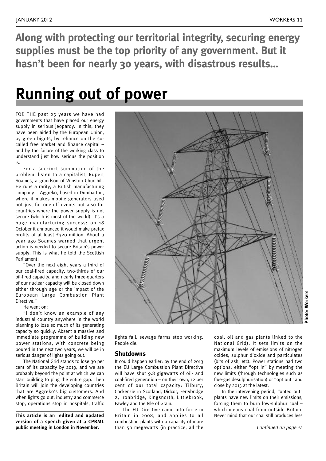**Along with protecting our territorial integrity, securing energy supplies must be the top priority of any government. But it hasn't been for nearly 30 years, with disastrous results…**

# **Running out of power**

FOR THE past 25 years we have had governments that have placed our energy supply in serious jeopardy. In this, they have been aided by the European Union, by green bigots, by reliance on the socalled free market and finance capital – and by the failure of the working class to understand just how serious the position is.

For a succinct summation of the problem, listen to a capitalist, Rupert Soames, a grandson of Winston Churchill. He runs a rarity, a British manufacturing company – Aggreko, based in Dumbarton, where it makes mobile generators used not just for one-off events but also for countries where the power supply is not secure (which is most of the world). It's a huge manufacturing success: on 18 October it announced it would make pretax profits of at least £320 million. About a year ago Soames warned that urgent action is needed to secure Britain's power supply. This is what he told the Scottish Parliament:

"Over the next eight years a third of our coal-fired capacity, two-thirds of our oil-fired capacity, and nearly three-quarters of our nuclear capacity will be closed down either through age or the impact of the European Large Combustion Plant Directive."

He went on:

"I don't know an example of any industrial country anywhere in the world planning to lose so much of its generating capacity so quickly. Absent a massive and immediate programme of building new power stations, with concrete being poured in the next two years, we will be in serious danger of lights going out."

The National Grid stands to lose 30 per cent of its capacity by 2019, and we are probably beyond the point at which we can start building to plug the entire gap. Then Britain will join the developing countries that are Aggreko's big customers. And when lights go out, industry and commerce stop, operations stop in hospitals, traffic

**This article is an edited and updated version of a speech given at a CPBML public meeting in London in November.**



lights fail, sewage farms stop working. People die.

# **Shutdowns**

It could happen earlier: by the end of 2013 the EU Large Combustion Plant Directive will have shut 9.8 gigawatts of oil- and coal-fired generation – on their own, 12 per cent of our total capacity: Tilbury, Cockenzie in Scotland, Didcot, Ferrybridge 2, Ironbridge, Kingsnorth, Littlebrook, Fawley and the Isle of Grain.

The EU Directive came into force in Britain in 2008, and applies to all combustion plants with a capacity of more than 50 megawatts (in practice, all the

coal, oil and gas plants linked to the National Grid). It sets limits on the maximum levels of emissions of nitrogen oxides, sulphur dioxide and particulates (bits of ash, etc). Power stations had two options: either "opt in" by meeting the new limits (through technologies such as flue-gas desulphurisation) or "opt out" and close by 2015 at the latest.

In the intervening period, "opted out" plants have new limits on their emissions, forcing them to burn low-sulphur coal – which means coal from outside Britain. Never mind that our coal still produces less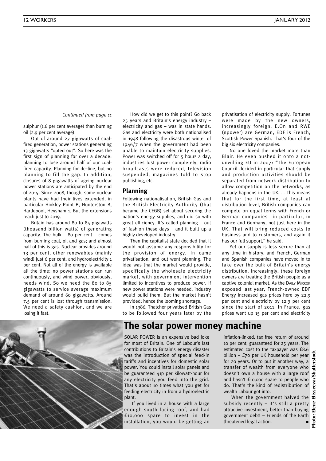*Continued from page <sup>11</sup>*

sulphur (1.6 per cent average) than burning oil (2.9 per cent average).

Out of around 27 gigawatts of coalfired generation, power stations generating 13 gigawatts "opted out". So here was the first sign of planning for over a decade: planning to lose around half of our coalfired capacity. Planning for decline, but no planning to fill the gap. In addition, closures of 8 gigawatts of ageing nuclear power stations are anticipated by the end of 2015. Since 2008, though, some nuclear plants have had their lives extended, in particular Hinkley Point B, Hunterston B, Hartlepool, Heysham 1. But the extensions reach just to 2019.

Britain has around 80 to 85 gigawatts (thousand billion watts) of generating capacity. The bulk  $-$  80 per cent  $-$  comes from burning coal, oil and gas; and almost half of this is gas. Nuclear provides around 13 per cent, other renewables (mainly wind) just 6 per cent, and hydroelectricity 1 per cent. Not all of the energy is available all the time: no power stations can run continuously, and wind power, obviously, needs wind. So we need the 80 to 85

gigawatts to service average maximum demand of around 60 gigawatts. Around 7.5 per cent is lost through transmission. We need a safety cushion, and we are losing it fast.

How did we get to this point? Go back 25 years and Britain's energy industry – electricity and gas – was in state hands. Gas and electricity were both nationalised in 1948 following the disastrous winter of 1946/7 when the government had been unable to maintain electricity supplies. Power was switched off for 5 hours a day, industries lost power completely, radio broadcasts were reduced, television suspended, magazines told to stop publishing, etc.

### **Planning**

Following nationalisation, British Gas and the British Electricity Authority (that became the CEGB) set about securing the nation's energy supplies, and did so with great efficiency. It's called planning – out of fashion these days – and it built up a highly developed industry.

Then the capitalist state decided that it would not assume any responsibility for the provision of energy. In came privatisation, and out went planning. The idea was that the market would provide, specifically the wholesale electricity market, with government intervention limited to incentives to produce power. If new power stations were needed, industry would build them. But the market hasn't provided; hence the looming shortage.

In 1986, Thatcher privatised British Gas to be followed four years later by the privatisation of electricity supply. Fortunes were made by the new owners, increasingly foreign. E.On and RWE (npower) are German, EDF is French, Scottish Power Spanish. That's four of the big six electricity companies.

No one loved the market more than Blair. He even pushed it onto a notunwilling EU in 2007: "The European Council decided in particular that supply and production activities should be separated from network distribution to allow competition on the networks, as already happens in the UK. … This means that for the first time, at least at distribution level, British companies can compete on equal terms with French or German companies—in particular, in France and Germany, not just here in the UK. That will bring reduced costs to business and to customers, and again it has our full support," he said.

Yet our supply is less secure than at any time in history, and French, German and Spanish companies have moved in to take over the bulk of Britain's energy distribution. Increasingly, these foreign owners are treating the British people as a captive colonial market. As the DAILY MIRROR exposed last year, French-owned EDF Energy increased gas prices here by 22.9 per cent and electricity by 12.3 per cent since the start of 2011. In France, gas prices went up 15 per cent and electricity



# **The solar power money machine**

SOLAR POWER is an expensive bad joke for most of Britain. One of Labour's last contributions to Britain's energy disaster was the introduction of special feed-in tariffs and incentives for domestic solar power. You could install solar panels and be guaranteed 41p per kilowatt-hour for any electricity you feed into the grid. That's about 10 times what you get for feeding electricity in from a hydroelectric plant.

If you lived in a house with a large enough south facing roof, and had £10,000 spare to invest in the installation, you would be getting an

inflation-linked, tax free return of around 10 per cent, guaranteed for 25 years. The estimated cost to the taxpayer was £8.6 billion – £70 per UK household per year for 20 years. Or to put it another way, a transfer of wealth from everyone who doesn't own a house with a large roof and hasn't £10,000 spare to people who do. That's the kind of redistribution of wealth Labour got into.

When the government halved the  $\Xi$ subsidy recently – it's still a pretty attractive investment, better than buying government debt! – Friends of the Earth threatened legal action. **■**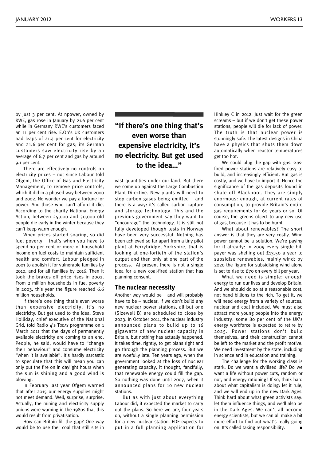by just 3 per cent. At npower, owned by RWE, gas rose in January by 21.6 per cent while in Germany RWE's customers faced an 11 per cent rise. E.On's UK customers had leaps of 21.4 per cent for electricity and 21.6 per cent for gas; its German customers saw electricity rise by an average of 6.7 per cent and gas by around 9.1 per cent.

There are effectively no controls on electricity prices – not since Labour told Ofgem, the Office of Gas and Electricity Management, to remove price controls, which it did in a phased way between 2000 and 2002. No wonder we pay a fortune for power. And those who can't afford it die. According to the charity National Energy Action, between 25,000 and 30,000 old people die early in the winter because they can't keep warm enough.

When prices started soaring, so did fuel poverty – that's when you have to spend 10 per cent or more of household income on fuel costs to maintain sufficient health and comfort. Labour pledged in 2001 to abolish it for vulnerable families by 2010, and for all families by 2016. Then it took the brakes off price rises in 2002. From 2 million households in fuel poverty in 2003, this year the figure reached 6.6 million households.

If there's one thing that's even worse than expensive electricity, it's no electricity. But get used to the idea. Steve Holliday, chief executive of the National Grid, told Radio 4's TODAY programme on 1 March 2011 that the days of permanently available electricity are coming to an end. People, he said, would have to "change their behaviour" and consume electricity "when it is available". It's hardly sarcastic to speculate that this will mean you can only put the fire on in daylight hours when the sun is shining and a good wind is blowing.

In February last year Ofgem warned that after 2015 our energy supplies might not meet demand. Well, surprise, surprise. Actually, the mining and electricity supply unions were warning in the 1980s that this would result from privatisation.

How can Britain fill the gap? One way would be to use the coal that still sits in

# **"If there's one thing that's even worse than expensive electricity, it's no electricity. But get used to the idea…"**

vast quantities under our land. But there we come up against the Large Combustion Plant Directive. New plants will need to stop carbon gases being emitted – and there is a way: it's called carbon capture and storage technology. This and the previous government say they want to "encourage" the technology. It is still not fully developed though tests in Norway have been very successful. Nothing has been achieved so far apart from a tiny pilot plant at Ferrybridge, Yorkshire, that is looking at one-fortieth of the station's output and then only at one part of the process. At present there is not a single idea for a new coal-fired station that has planning consent.

### **The nuclear necessity**

Another way would be – and will probably have to be – nuclear. If we don't build any new nuclear power stations, all but one (Sizewell B) are scheduled to close by 2023. In October 2011, the nuclear industry announced plans to build up to 16 gigawatts of new nuclear capacity in Britain, but nothing has actually happened. It takes time, rightly, to get plans right and go through the planning process. But we are woefully late. Ten years ago, when the government looked at the loss of nuclear generating capacity, it thought, fancifully, that renewable energy could fill the gap. So nothing was done until 2007, when it announced plans for 10 new nuclear stations.

But as with just about everything Labour did, it expected the market to carry out the plans. So here we are, four years on, without a single planning permission for a new nuclear station. EDF expects to put in a full planning application for Hinkley C in 2012. Just wait for the green screams – but if we don't get these power stations, people will die for lack of power. The truth is that nuclear power is stunningly safe. The latest designs in China have a physics that shuts them down automatically when reactor temperatures get too hot.

We could plug the gap with gas. Gasfired power stations are relatively easy to build, and increasingly efficient. But gas is costly, and we have to import it. Hence the significance of the gas deposits found in shale off Blackpool. They are simply enormous: enough, at current rates of consumption, to provide Britain's entire gas requirements for 60 years or so. Of course, the greens object to any new use of gas, because it has to be burnt.

What about renewables? The short answer is that they are very costly. Wind power cannot be a solution. We're paying for it already: in 2009 every single bill payer was shelling out £13.50 a year to subsidise renewables, mainly wind; by 2020 the figure for subsidising wind alone is set to rise to £70 on every bill per year.

What we need is simple: enough energy to run our lives and develop Britain. And we should do so at a reasonable cost, not hand billions to the rich. To get it, we will need energy from a variety of sources, nuclear and coal included. We must also attract more young people into the energy industry: some 80 per cent of the UK's energy workforce is expected to retire by 2025. Power stations don't build themselves, and their construction cannot be left to the market and the profit motive. We need investment by the state, including in science and in education and training.

The challenge for the working class is stark. Do we want a civilised life? Do we want a life without power cuts, random or not, and energy rationing? If so, think hard about what capitalism is doing: let it rule, and we will end up in the new Dark Ages. Think hard about what green activists say: let them influence things, and we'll also be in the Dark Ages. We can't all become energy scientists, but we can all make a bit more effort to find out what's really going on. It's called taking responsibility. **■**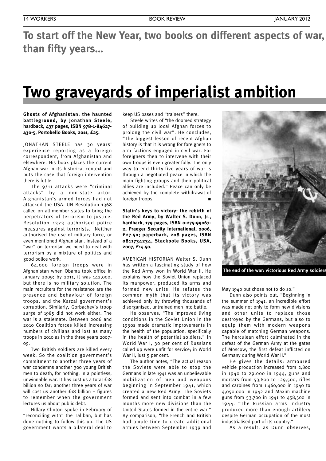# **To** start off the New Year, two books on different aspects of war, **than fifty years…**

# **Two graveyards of imperialist ambition**

### **Ghosts of Afghanistan: the haunted battleground, by Jonathan Steele, hardback, 437 pages, ISBN 978-1-84627- 430-5, Portobello Books, 2011, £25.**

JONATHAN STEELE has 30 years' experience reporting as a foreign correspondent, from Afghanistan and elsewhere. His book places the current Afghan war in its historical context and puts the case that foreign intervention there is futile.

The 9/11 attacks were "criminal attacks" by a non-state actor. Afghanistan's armed forces had not attacked the USA. UN Resolution 1368 called on all member states to bring the perpetrators of terrorism to justice. Resolution 1373 authorised police measures against terrorists. Neither authorised the use of military force, or even mentioned Afghanistan. Instead of a "war" on terrorism we need to deal with terrorism by a mixture of politics and good police work.

64,000 foreign troops were in Afghanistan when Obama took office in January 2009; by 2011, it was 142,000, but there is no military solution. The main recruiters for the resistance are the presence and behaviour of foreign troops, and the Karzai government's corruption. Similarly, Gorbachev's troop surge of 1985 did not work either. The war is a stalemate. Between 2006 and 2010 Coalition forces killed increasing numbers of civilians and lost as many troops in 2010 as in the three years 2007- 09.

Two British soldiers are killed every week. So the coalition government's commitment to another three years of war condemns another 300 young British men to death, for nothing, in a pointless, unwinnable war. It has cost us a total £18 billion so far; another three years of war will cost us another £18 billion - figures to remember when the government lectures us about public debt.

Hillary Clinton spoke in February of "reconciling with" the Taliban, but has done nothing to follow this up. The US government wants a bilateral deal to

keep US bases and "trainers" there.

Steele writes of "the doomed strategy of building up local Afghan forces to prolong the civil war". He concludes, "The biggest lesson of recent Afghan history is that it is wrong for foreigners to arm factions engaged in civil war. For foreigners then to intervene with their own troops is even greater folly. The only way to end thirty-five years of war is through a negotiated peace in which the main fighting groups and their political allies are included." Peace can only be achieved by the complete withdrawal of foreign troops.

**Stalin's keys to victory: the rebirth of the Red Army, by Walter S. Dunn, Jr., hardback, 179 pages, ISBN 0-275-99067- 2, Praeger Security International, 2006, £27.50; paperback, 208 pages, ISBN 0811734234, Stackpole Books, USA, 2007, £14.50.**

AMERICAN HISTORIAN Walter S. Dunn has written a fascinating study of how the Red Army won in World War II. He explains how the Soviet Union replaced its manpower, produced its arms and formed new units. He refutes the common myth that its victory was achieved only by throwing thousands of disorganised, untrained men into battle.

He observes, "The improved living conditions in the Soviet Union in the 1930s made dramatic improvements in the health of the population, specifically in the health of potential soldiers." In World War I, 30 per cent of Russians called up were unfit for service; in World War II, just 5 per cent.

The author notes, "The actual reason the Soviets were able to stop the Germans in late 1941 was an unbelievable mobilization of men and weapons beginning in September 1941, which created a new Red Army. The Soviets formed and sent into combat in a few months more new divisions than the United States formed in the entire war." By comparison, "the French and British had ample time to create additional armies between September 1939 and



**The end of the war: victorious Red Army soldiers raise the Soviet flag over defeated Berlin, 1945**

May 1940 but chose not to do so."

Dunn also points out, "Beginning in the summer of 1941, an incredible effort was made not only to form new divisions and other units to replace those destroyed by the Germans, but also to equip them with modern weapons capable of matching German weapons. The herculean effort culminated in the defeat of the German Army at the gates of Moscow, the first defeat inflicted on Germany during World War II."

He gives the details: armoured vehicle production increased from 2,800 in 1940 to 29,000 in 1944, guns and mortars from 53,800 to 129,500, rifles and carbines from 1,460,000 in 1940 to 4,050,000 in 1942 and Maxim machine guns from 53,700 in 1941 to 458,500 in 1944. "The Russian arms industry produced more than enough artillery despite German occupation of the most industrialised part of its country."

As a result, as Dunn observes,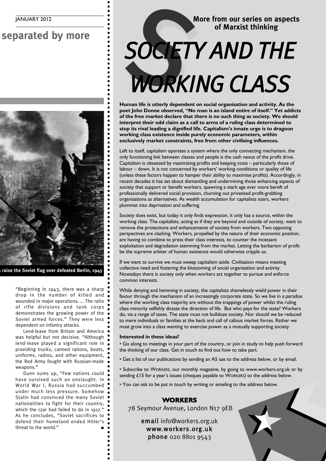**Separated** by more



**The end of the war: victorious Red Army soldiers raise the Soviet flag over defeated Berlin, 1945**

"Beginning in 1943, there was a sharp drop in the number of killed and wounded in major operations. … The ratio of rifle divisions and tank corps demonstrates the growing power of the Soviet armed forces." They were less dependent on infantry attacks.

Lend-lease from Britain and America was helpful but not decisive. "Although lend-lease played a significant role in providing trucks, canned rations, boots, uniforms, radios, and other equipment, the Red Army fought with Russian-made weapons."

Dunn sums up, "Few nations could have survived such an onslaught. In World War I, Russia had succumbed under much less pressure. Somehow Stalin had convinced the many Soviet nationalities to fight for their country, which the czar had failed to do in 1917." As he concludes, "Soviet sacrifices to defend their homeland ended Hitler's threat to the world." **■**

# **More from our series on aspects of Marxist thinking** SOCIET More from our series on aspected of Marxist thinking SOCIETY AND THE

**Human life is utterly dependent on social organisation and activity. As the poet John Donne observed, "No man is an island entire of itself." Yet addicts of the free market declare that there is no such thing as society. We should interpret their odd claim as a call to arms of a ruling class determined to stop its rival leading a dignified life. Capitalism's innate urge is to dragoon working class existence inside purely economic parameters, within exclusively market constraints, free from other civilising influences.**

Left to itself, capitalism operates a system where the only connecting mechanism, the only functioning link between classes and people is the cash nexus of the profit drive. Capitalism is obsessed by maximising profits and keeping costs – particularly those of labour – down. It is not concerned by workers' working conditions or quality of life (unless these factors happen to hamper their ability to maximise profits). Accordingly, in recent decades it has set about dismantling and undermining those enhancing aspects of society that support or benefit workers, spawning a stark age ever more bereft of professionally delivered social provision, churning out privatised profit-grabbing organisations as alternatives. As wealth accumulation for capitalists soars, workers plummet into deprivation and suffering.

Society does exist, but today it only finds expression, it only has a source, within the working class. The capitalists, acting as if they are beyond and outside of society, want to remove the protections and enhancements of society from workers. Two opposing perspectives are clashing. Workers, propelled by the nature of their economic position, are having to combine to press their class interests, to counter the incessant exploitation and degradation stemming from the market. Letting the barbarism of profit be the supreme arbiter of human existence would otherwise cripple us.

If we want to survive we must sweep capitalism aside. Civilisation means meeting collective need and fostering the blossoming of social organisation and activity. Nowadays there is society only when workers act together to pursue and enforce common interests.

While denying and hemming in society, the capitalists shamelessly wield power in their favour through the mechanism of an increasingly corporate state. So we live in a paradox where the working class majority are without the trappings of power whilst the ruling class minority selfishly dictate the direction of life. But who pays for the state? Workers do, via a range of taxes. The state must not bulldoze society. Nor should we be reduced to mere individuals or families at the beck and call of callous market forces. Rather we must grow into a class wanting to exercise power as a mutually supporting society.

### **Interested in these ideas?**

• Go along to meetings in your part of the country, or join in study to help push forward the thinking of our class. Get in touch to find out how to take part.

• Get a list of our publications by sending an A5 sae to the address below, or by email.

• Subscribe to WORKERS, our monthly magazine, by going to www.workers.org.uk or by sending £15 for a year's issues (cheques payable to WORKERS) to the address below.

• You can ask to be put in touch by writing or emailing to the address below.

# **WORKERS**

78 Seymour Avenue, London N17 9EB

email info@workers.org.uk www.workers.org.uk phone 020 8801 9543